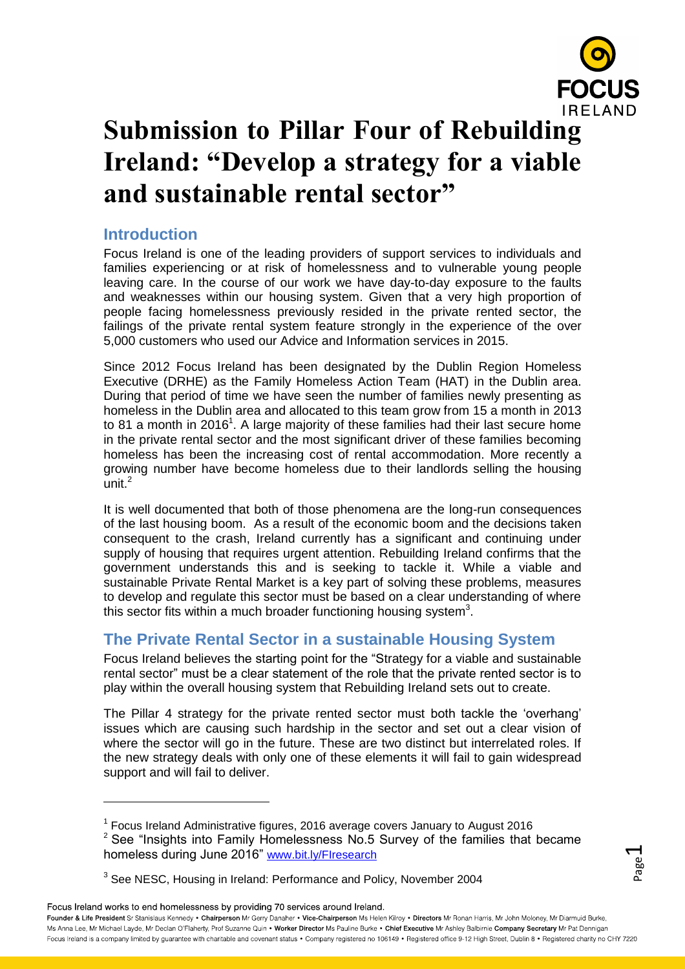

# **Submission to Pillar Four of Rebuilding Ireland: "Develop a strategy for a viable and sustainable rental sector"**

# **Introduction**

Focus Ireland is one of the leading providers of support services to individuals and families experiencing or at risk of homelessness and to vulnerable young people leaving care. In the course of our work we have day-to-day exposure to the faults and weaknesses within our housing system. Given that a very high proportion of people facing homelessness previously resided in the private rented sector, the failings of the private rental system feature strongly in the experience of the over 5,000 customers who used our Advice and Information services in 2015.

Since 2012 Focus Ireland has been designated by the Dublin Region Homeless Executive (DRHE) as the Family Homeless Action Team (HAT) in the Dublin area. During that period of time we have seen the number of families newly presenting as homeless in the Dublin area and allocated to this team grow from 15 a month in 2013 to 81 a month in 2016<sup>1</sup>. A large majority of these families had their last secure home in the private rental sector and the most significant driver of these families becoming homeless has been the increasing cost of rental accommodation. More recently a growing number have become homeless due to their landlords selling the housing unit. 2

It is well documented that both of those phenomena are the long-run consequences of the last housing boom. As a result of the economic boom and the decisions taken consequent to the crash, Ireland currently has a significant and continuing under supply of housing that requires urgent attention. Rebuilding Ireland confirms that the government understands this and is seeking to tackle it. While a viable and sustainable Private Rental Market is a key part of solving these problems, measures to develop and regulate this sector must be based on a clear understanding of where this sector fits within a much broader functioning housing system<sup>3</sup>.

# **The Private Rental Sector in a sustainable Housing System**

Focus Ireland believes the starting point for the "Strategy for a viable and sustainable rental sector" must be a clear statement of the role that the private rented sector is to play within the overall housing system that Rebuilding Ireland sets out to create.

The Pillar 4 strategy for the private rented sector must both tackle the 'overhang' issues which are causing such hardship in the sector and set out a clear vision of where the sector will go in the future. These are two distinct but interrelated roles. If the new strategy deals with only one of these elements it will fail to gain widespread support and will fail to deliver.

<sup>3</sup> See NESC, Housing in Ireland: Performance and Policy, November 2004

Focus Ireland works to end homelessness by providing 70 services around Ireland.

 $\overline{a}$ 

<sup>&</sup>lt;sup>1</sup> Focus Ireland Administrative figures, 2016 average covers January to August 2016  $2$  See "Insights into Family Homelessness No.5 Survey of the families that became homeless during June 2016" [www.bit.ly/FIresearch](http://www.bit.ly/FIresearch)

Page  $\overline{\phantom{0}}$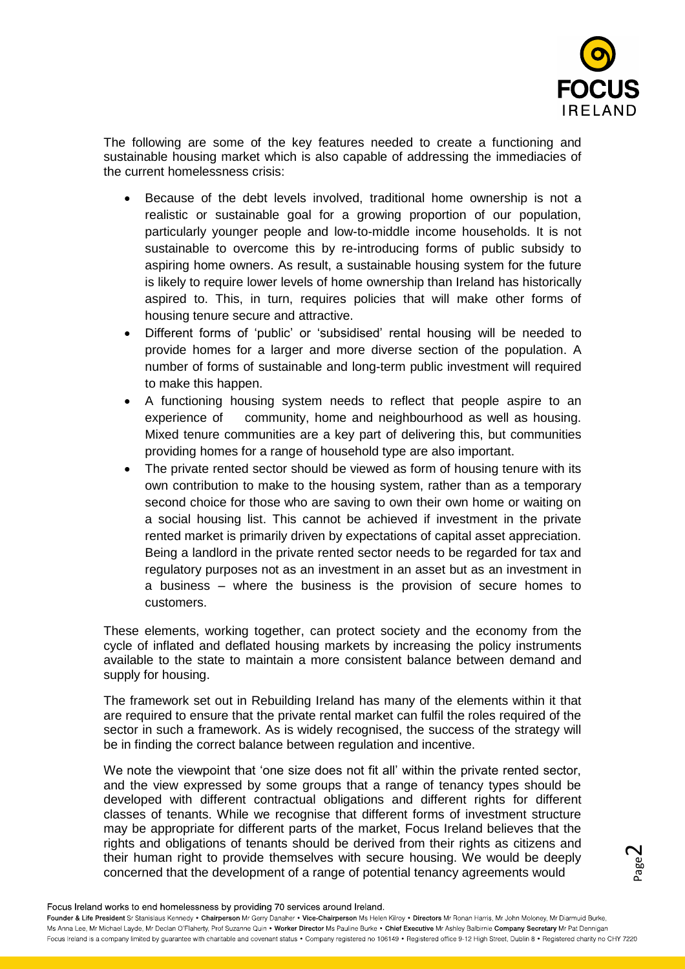

The following are some of the key features needed to create a functioning and sustainable housing market which is also capable of addressing the immediacies of the current homelessness crisis:

- Because of the debt levels involved, traditional home ownership is not a realistic or sustainable goal for a growing proportion of our population, particularly younger people and low-to-middle income households. It is not sustainable to overcome this by re-introducing forms of public subsidy to aspiring home owners. As result, a sustainable housing system for the future is likely to require lower levels of home ownership than Ireland has historically aspired to. This, in turn, requires policies that will make other forms of housing tenure secure and attractive.
- Different forms of 'public' or 'subsidised' rental housing will be needed to provide homes for a larger and more diverse section of the population. A number of forms of sustainable and long-term public investment will required to make this happen.
- A functioning housing system needs to reflect that people aspire to an experience of community, home and neighbourhood as well as housing. Mixed tenure communities are a key part of delivering this, but communities providing homes for a range of household type are also important.
- The private rented sector should be viewed as form of housing tenure with its own contribution to make to the housing system, rather than as a temporary second choice for those who are saving to own their own home or waiting on a social housing list. This cannot be achieved if investment in the private rented market is primarily driven by expectations of capital asset appreciation. Being a landlord in the private rented sector needs to be regarded for tax and regulatory purposes not as an investment in an asset but as an investment in a business – where the business is the provision of secure homes to customers.

These elements, working together, can protect society and the economy from the cycle of inflated and deflated housing markets by increasing the policy instruments available to the state to maintain a more consistent balance between demand and supply for housing.

The framework set out in Rebuilding Ireland has many of the elements within it that are required to ensure that the private rental market can fulfil the roles required of the sector in such a framework. As is widely recognised, the success of the strategy will be in finding the correct balance between regulation and incentive.

We note the viewpoint that 'one size does not fit all' within the private rented sector, and the view expressed by some groups that a range of tenancy types should be developed with different contractual obligations and different rights for different classes of tenants. While we recognise that different forms of investment structure may be appropriate for different parts of the market, Focus Ireland believes that the rights and obligations of tenants should be derived from their rights as citizens and their human right to provide themselves with secure housing. We would be deeply concerned that the development of a range of potential tenancy agreements would

Page  $\boldsymbol{\sim}$ 

Focus Ireland works to end homelessness by providing 70 services around Ireland.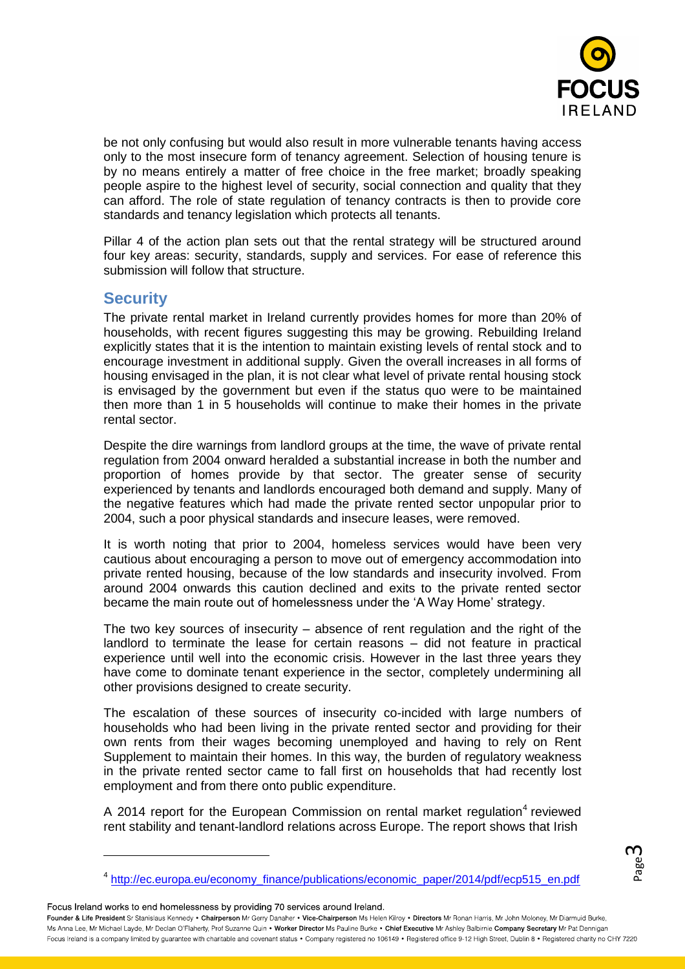

be not only confusing but would also result in more vulnerable tenants having access only to the most insecure form of tenancy agreement. Selection of housing tenure is by no means entirely a matter of free choice in the free market; broadly speaking people aspire to the highest level of security, social connection and quality that they can afford. The role of state regulation of tenancy contracts is then to provide core standards and tenancy legislation which protects all tenants.

Pillar 4 of the action plan sets out that the rental strategy will be structured around four key areas: security, standards, supply and services. For ease of reference this submission will follow that structure.

# **Security**

The private rental market in Ireland currently provides homes for more than 20% of households, with recent figures suggesting this may be growing. Rebuilding Ireland explicitly states that it is the intention to maintain existing levels of rental stock and to encourage investment in additional supply. Given the overall increases in all forms of housing envisaged in the plan, it is not clear what level of private rental housing stock is envisaged by the government but even if the status quo were to be maintained then more than 1 in 5 households will continue to make their homes in the private rental sector.

Despite the dire warnings from landlord groups at the time, the wave of private rental regulation from 2004 onward heralded a substantial increase in both the number and proportion of homes provide by that sector. The greater sense of security experienced by tenants and landlords encouraged both demand and supply. Many of the negative features which had made the private rented sector unpopular prior to 2004, such a poor physical standards and insecure leases, were removed.

It is worth noting that prior to 2004, homeless services would have been very cautious about encouraging a person to move out of emergency accommodation into private rented housing, because of the low standards and insecurity involved. From around 2004 onwards this caution declined and exits to the private rented sector became the main route out of homelessness under the 'A Way Home' strategy.

The two key sources of insecurity – absence of rent regulation and the right of the landlord to terminate the lease for certain reasons – did not feature in practical experience until well into the economic crisis. However in the last three years they have come to dominate tenant experience in the sector, completely undermining all other provisions designed to create security.

The escalation of these sources of insecurity co-incided with large numbers of households who had been living in the private rented sector and providing for their own rents from their wages becoming unemployed and having to rely on Rent Supplement to maintain their homes. In this way, the burden of regulatory weakness in the private rented sector came to fall first on households that had recently lost employment and from there onto public expenditure.

A 2014 report for the European Commission on rental market regulation<sup>4</sup> reviewed rent stability and tenant-landlord relations across Europe. The report shows that Irish

Focus Ireland works to end homelessness by providing 70 services around Ireland.

 $\overline{a}$ 

Page ന

<sup>&</sup>lt;sup>4</sup> [http://ec.europa.eu/economy\\_finance/publications/economic\\_paper/2014/pdf/ecp515\\_en.pdf](http://ec.europa.eu/economy_finance/publications/economic_paper/2014/pdf/ecp515_en.pdf)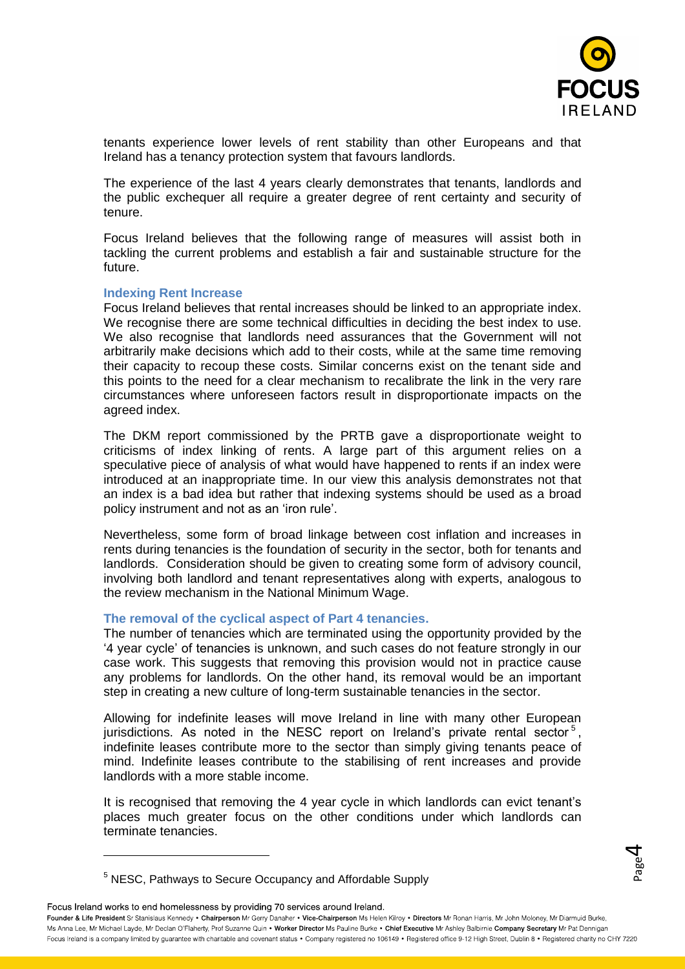

Page 4

tenants experience lower levels of rent stability than other Europeans and that Ireland has a tenancy protection system that favours landlords.

The experience of the last 4 years clearly demonstrates that tenants, landlords and the public exchequer all require a greater degree of rent certainty and security of tenure.

Focus Ireland believes that the following range of measures will assist both in tackling the current problems and establish a fair and sustainable structure for the future.

#### **Indexing Rent Increase**

Focus Ireland believes that rental increases should be linked to an appropriate index. We recognise there are some technical difficulties in deciding the best index to use. We also recognise that landlords need assurances that the Government will not arbitrarily make decisions which add to their costs, while at the same time removing their capacity to recoup these costs. Similar concerns exist on the tenant side and this points to the need for a clear mechanism to recalibrate the link in the very rare circumstances where unforeseen factors result in disproportionate impacts on the agreed index.

The DKM report commissioned by the PRTB gave a disproportionate weight to criticisms of index linking of rents. A large part of this argument relies on a speculative piece of analysis of what would have happened to rents if an index were introduced at an inappropriate time. In our view this analysis demonstrates not that an index is a bad idea but rather that indexing systems should be used as a broad policy instrument and not as an 'iron rule'.

Nevertheless, some form of broad linkage between cost inflation and increases in rents during tenancies is the foundation of security in the sector, both for tenants and landlords. Consideration should be given to creating some form of advisory council, involving both landlord and tenant representatives along with experts, analogous to the review mechanism in the National Minimum Wage.

#### **The removal of the cyclical aspect of Part 4 tenancies.**

The number of tenancies which are terminated using the opportunity provided by the '4 year cycle' of tenancies is unknown, and such cases do not feature strongly in our case work. This suggests that removing this provision would not in practice cause any problems for landlords. On the other hand, its removal would be an important step in creating a new culture of long-term sustainable tenancies in the sector.

Allowing for indefinite leases will move Ireland in line with many other European jurisdictions. As noted in the NESC report on Ireland's private rental sector<sup>5</sup>, indefinite leases contribute more to the sector than simply giving tenants peace of mind. Indefinite leases contribute to the stabilising of rent increases and provide landlords with a more stable income.

It is recognised that removing the 4 year cycle in which landlords can evict tenant's places much greater focus on the other conditions under which landlords can terminate tenancies.

Focus Ireland works to end homelessness by providing 70 services around Ireland.

 $\overline{a}$ 

<sup>&</sup>lt;sup>5</sup> NESC, Pathways to Secure Occupancy and Affordable Supply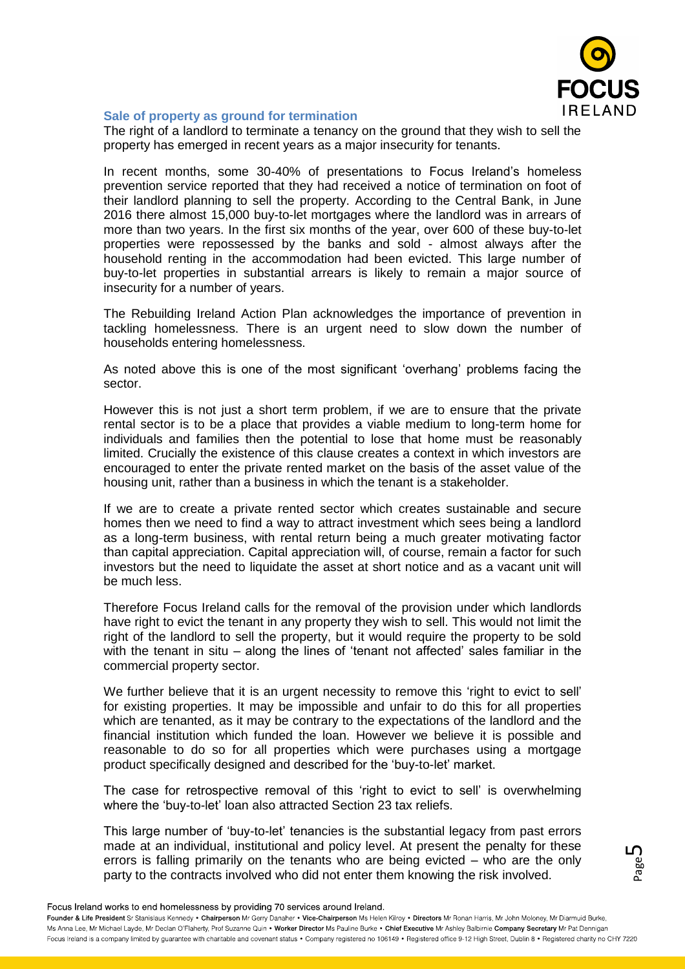

## **Sale of property as ground for termination**

The right of a landlord to terminate a tenancy on the ground that they wish to sell the property has emerged in recent years as a major insecurity for tenants.

In recent months, some 30-40% of presentations to Focus Ireland's homeless prevention service reported that they had received a notice of termination on foot of their landlord planning to sell the property. According to the Central Bank, in June 2016 there almost 15,000 buy-to-let mortgages where the landlord was in arrears of more than two years. In the first six months of the year, over 600 of these buy-to-let properties were repossessed by the banks and sold - almost always after the household renting in the accommodation had been evicted. This large number of buy-to-let properties in substantial arrears is likely to remain a major source of insecurity for a number of years.

The Rebuilding Ireland Action Plan acknowledges the importance of prevention in tackling homelessness. There is an urgent need to slow down the number of households entering homelessness.

As noted above this is one of the most significant 'overhang' problems facing the sector.

However this is not just a short term problem, if we are to ensure that the private rental sector is to be a place that provides a viable medium to long-term home for individuals and families then the potential to lose that home must be reasonably limited. Crucially the existence of this clause creates a context in which investors are encouraged to enter the private rented market on the basis of the asset value of the housing unit, rather than a business in which the tenant is a stakeholder.

If we are to create a private rented sector which creates sustainable and secure homes then we need to find a way to attract investment which sees being a landlord as a long-term business, with rental return being a much greater motivating factor than capital appreciation. Capital appreciation will, of course, remain a factor for such investors but the need to liquidate the asset at short notice and as a vacant unit will be much less.

Therefore Focus Ireland calls for the removal of the provision under which landlords have right to evict the tenant in any property they wish to sell. This would not limit the right of the landlord to sell the property, but it would require the property to be sold with the tenant in situ – along the lines of 'tenant not affected' sales familiar in the commercial property sector.

We further believe that it is an urgent necessity to remove this 'right to evict to sell' for existing properties. It may be impossible and unfair to do this for all properties which are tenanted, as it may be contrary to the expectations of the landlord and the financial institution which funded the loan. However we believe it is possible and reasonable to do so for all properties which were purchases using a mortgage product specifically designed and described for the 'buy-to-let' market.

The case for retrospective removal of this 'right to evict to sell' is overwhelming where the 'buy-to-let' loan also attracted Section 23 tax reliefs.

This large number of 'buy-to-let' tenancies is the substantial legacy from past errors made at an individual, institutional and policy level. At present the penalty for these errors is falling primarily on the tenants who are being evicted – who are the only party to the contracts involved who did not enter them knowing the risk involved.

Page ഥ

Focus Ireland works to end homelessness by providing 70 services around Ireland.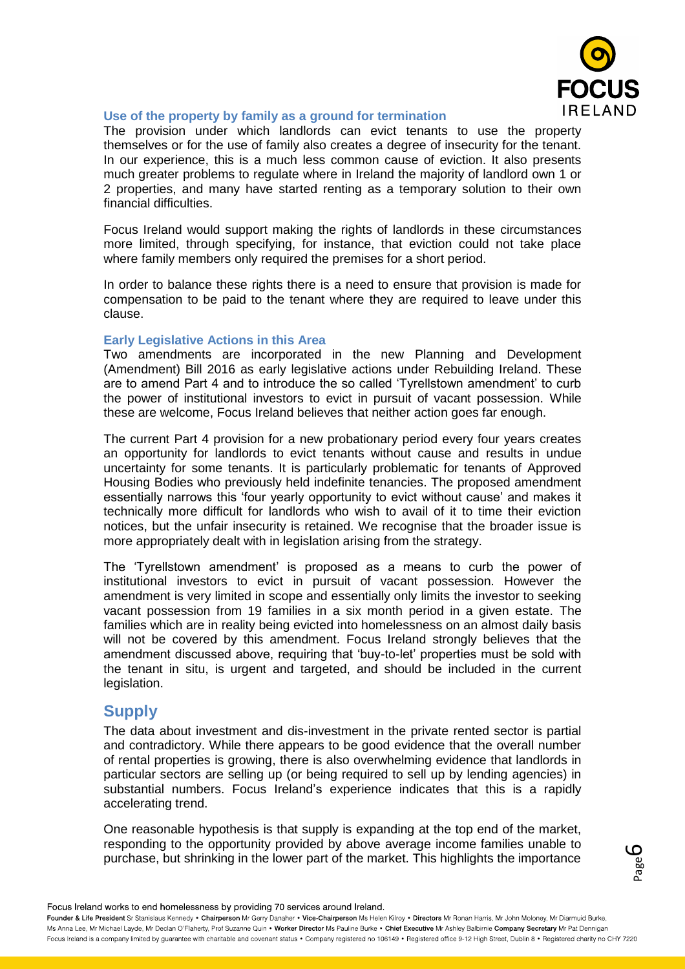

## **Use of the property by family as a ground for termination**

The provision under which landlords can evict tenants to use the property themselves or for the use of family also creates a degree of insecurity for the tenant. In our experience, this is a much less common cause of eviction. It also presents much greater problems to regulate where in Ireland the majority of landlord own 1 or 2 properties, and many have started renting as a temporary solution to their own financial difficulties.

Focus Ireland would support making the rights of landlords in these circumstances more limited, through specifying, for instance, that eviction could not take place where family members only required the premises for a short period.

In order to balance these rights there is a need to ensure that provision is made for compensation to be paid to the tenant where they are required to leave under this clause.

## **Early Legislative Actions in this Area**

Two amendments are incorporated in the new Planning and Development (Amendment) Bill 2016 as early legislative actions under Rebuilding Ireland. These are to amend Part 4 and to introduce the so called 'Tyrellstown amendment' to curb the power of institutional investors to evict in pursuit of vacant possession. While these are welcome, Focus Ireland believes that neither action goes far enough.

The current Part 4 provision for a new probationary period every four years creates an opportunity for landlords to evict tenants without cause and results in undue uncertainty for some tenants. It is particularly problematic for tenants of Approved Housing Bodies who previously held indefinite tenancies. The proposed amendment essentially narrows this 'four yearly opportunity to evict without cause' and makes it technically more difficult for landlords who wish to avail of it to time their eviction notices, but the unfair insecurity is retained. We recognise that the broader issue is more appropriately dealt with in legislation arising from the strategy.

The 'Tyrellstown amendment' is proposed as a means to curb the power of institutional investors to evict in pursuit of vacant possession. However the amendment is very limited in scope and essentially only limits the investor to seeking vacant possession from 19 families in a six month period in a given estate. The families which are in reality being evicted into homelessness on an almost daily basis will not be covered by this amendment. Focus Ireland strongly believes that the amendment discussed above, requiring that 'buy-to-let' properties must be sold with the tenant in situ, is urgent and targeted, and should be included in the current legislation.

# **Supply**

The data about investment and dis-investment in the private rented sector is partial and contradictory. While there appears to be good evidence that the overall number of rental properties is growing, there is also overwhelming evidence that landlords in particular sectors are selling up (or being required to sell up by lending agencies) in substantial numbers. Focus Ireland's experience indicates that this is a rapidly accelerating trend.

One reasonable hypothesis is that supply is expanding at the top end of the market, responding to the opportunity provided by above average income families unable to purchase, but shrinking in the lower part of the market. This highlights the importance

Page 6

Focus Ireland works to end homelessness by providing 70 services around Ireland.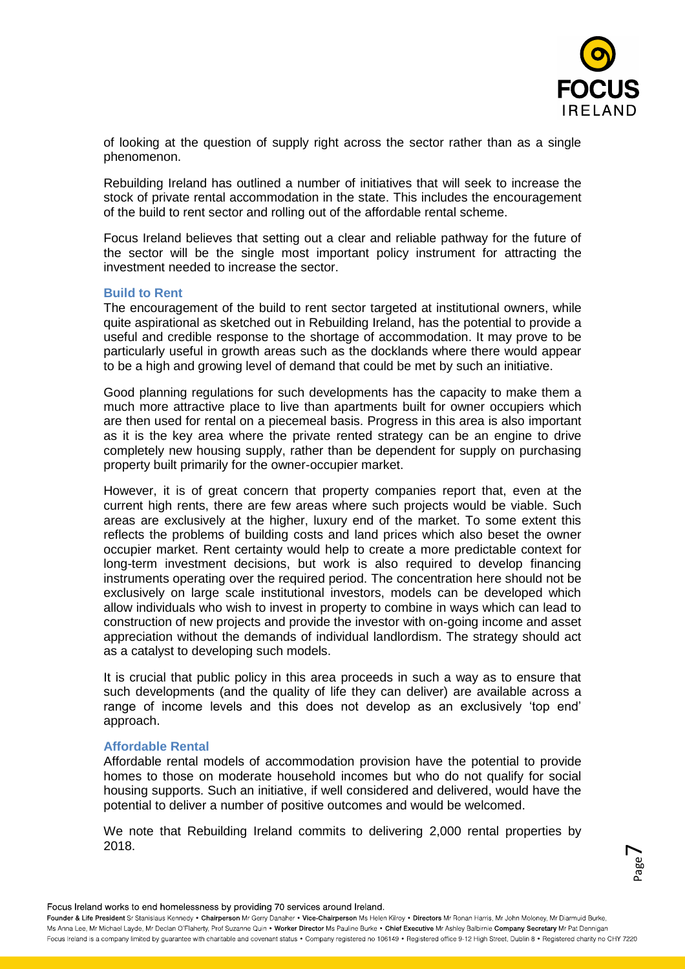

of looking at the question of supply right across the sector rather than as a single phenomenon.

Rebuilding Ireland has outlined a number of initiatives that will seek to increase the stock of private rental accommodation in the state. This includes the encouragement of the build to rent sector and rolling out of the affordable rental scheme.

Focus Ireland believes that setting out a clear and reliable pathway for the future of the sector will be the single most important policy instrument for attracting the investment needed to increase the sector.

#### **Build to Rent**

The encouragement of the build to rent sector targeted at institutional owners, while quite aspirational as sketched out in Rebuilding Ireland, has the potential to provide a useful and credible response to the shortage of accommodation. It may prove to be particularly useful in growth areas such as the docklands where there would appear to be a high and growing level of demand that could be met by such an initiative.

Good planning regulations for such developments has the capacity to make them a much more attractive place to live than apartments built for owner occupiers which are then used for rental on a piecemeal basis. Progress in this area is also important as it is the key area where the private rented strategy can be an engine to drive completely new housing supply, rather than be dependent for supply on purchasing property built primarily for the owner-occupier market.

However, it is of great concern that property companies report that, even at the current high rents, there are few areas where such projects would be viable. Such areas are exclusively at the higher, luxury end of the market. To some extent this reflects the problems of building costs and land prices which also beset the owner occupier market. Rent certainty would help to create a more predictable context for long-term investment decisions, but work is also required to develop financing instruments operating over the required period. The concentration here should not be exclusively on large scale institutional investors, models can be developed which allow individuals who wish to invest in property to combine in ways which can lead to construction of new projects and provide the investor with on-going income and asset appreciation without the demands of individual landlordism. The strategy should act as a catalyst to developing such models.

It is crucial that public policy in this area proceeds in such a way as to ensure that such developments (and the quality of life they can deliver) are available across a range of income levels and this does not develop as an exclusively 'top end' approach.

#### **Affordable Rental**

Affordable rental models of accommodation provision have the potential to provide homes to those on moderate household incomes but who do not qualify for social housing supports. Such an initiative, if well considered and delivered, would have the potential to deliver a number of positive outcomes and would be welcomed.

We note that Rebuilding Ireland commits to delivering 2,000 rental properties by 2018.

Page  $\blacktriangleright$ 

Focus Ireland works to end homelessness by providing 70 services around Ireland.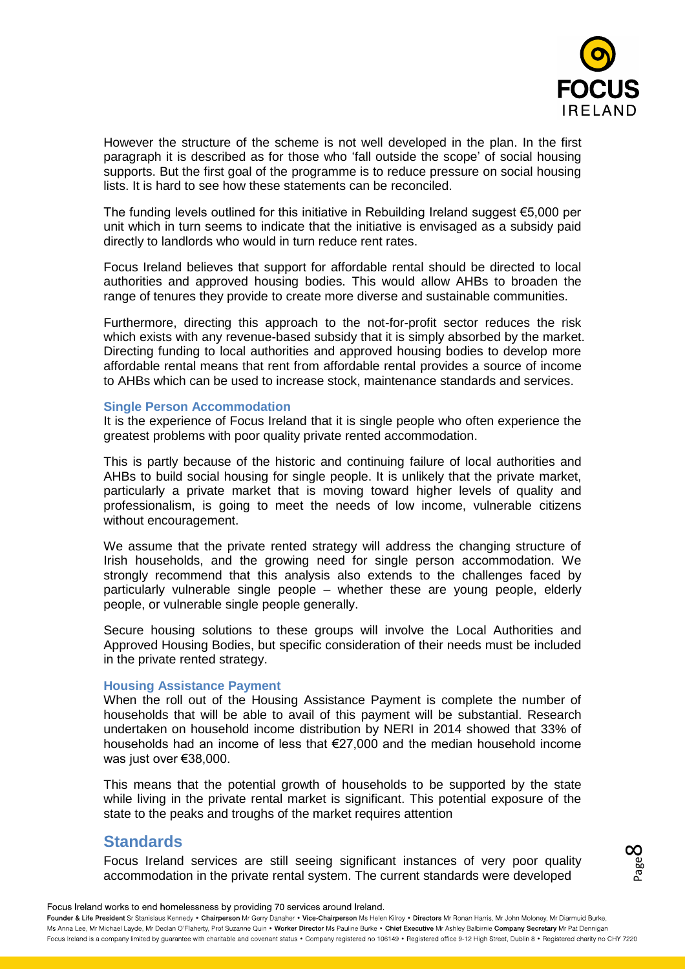

However the structure of the scheme is not well developed in the plan. In the first paragraph it is described as for those who 'fall outside the scope' of social housing supports. But the first goal of the programme is to reduce pressure on social housing lists. It is hard to see how these statements can be reconciled.

The funding levels outlined for this initiative in Rebuilding Ireland suggest  $\epsilon$ 5,000 per unit which in turn seems to indicate that the initiative is envisaged as a subsidy paid directly to landlords who would in turn reduce rent rates.

Focus Ireland believes that support for affordable rental should be directed to local authorities and approved housing bodies. This would allow AHBs to broaden the range of tenures they provide to create more diverse and sustainable communities.

Furthermore, directing this approach to the not-for-profit sector reduces the risk which exists with any revenue-based subsidy that it is simply absorbed by the market. Directing funding to local authorities and approved housing bodies to develop more affordable rental means that rent from affordable rental provides a source of income to AHBs which can be used to increase stock, maintenance standards and services.

#### **Single Person Accommodation**

It is the experience of Focus Ireland that it is single people who often experience the greatest problems with poor quality private rented accommodation.

This is partly because of the historic and continuing failure of local authorities and AHBs to build social housing for single people. It is unlikely that the private market, particularly a private market that is moving toward higher levels of quality and professionalism, is going to meet the needs of low income, vulnerable citizens without encouragement.

We assume that the private rented strategy will address the changing structure of Irish households, and the growing need for single person accommodation. We strongly recommend that this analysis also extends to the challenges faced by particularly vulnerable single people – whether these are young people, elderly people, or vulnerable single people generally.

Secure housing solutions to these groups will involve the Local Authorities and Approved Housing Bodies, but specific consideration of their needs must be included in the private rented strategy.

## **Housing Assistance Payment**

When the roll out of the Housing Assistance Payment is complete the number of households that will be able to avail of this payment will be substantial. Research undertaken on household income distribution by NERI in 2014 showed that 33% of households had an income of less that €27,000 and the median household income was just over €38,000.

This means that the potential growth of households to be supported by the state while living in the private rental market is significant. This potential exposure of the state to the peaks and troughs of the market requires attention

# **Standards**

Focus Ireland services are still seeing significant instances of very poor quality accommodation in the private rental system. The current standards were developed

Page 00

Focus Ireland works to end homelessness by providing 70 services around Ireland.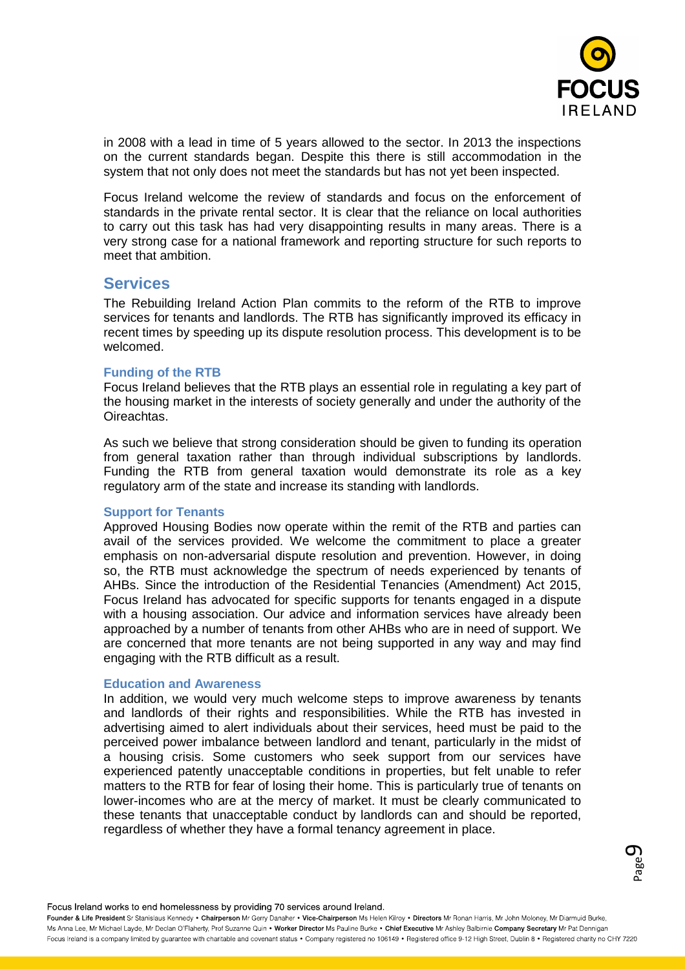

in 2008 with a lead in time of 5 years allowed to the sector. In 2013 the inspections on the current standards began. Despite this there is still accommodation in the system that not only does not meet the standards but has not yet been inspected.

Focus Ireland welcome the review of standards and focus on the enforcement of standards in the private rental sector. It is clear that the reliance on local authorities to carry out this task has had very disappointing results in many areas. There is a very strong case for a national framework and reporting structure for such reports to meet that ambition.

# **Services**

The Rebuilding Ireland Action Plan commits to the reform of the RTB to improve services for tenants and landlords. The RTB has significantly improved its efficacy in recent times by speeding up its dispute resolution process. This development is to be welcomed.

## **Funding of the RTB**

Focus Ireland believes that the RTB plays an essential role in regulating a key part of the housing market in the interests of society generally and under the authority of the Oireachtas.

As such we believe that strong consideration should be given to funding its operation from general taxation rather than through individual subscriptions by landlords. Funding the RTB from general taxation would demonstrate its role as a key regulatory arm of the state and increase its standing with landlords.

#### **Support for Tenants**

Approved Housing Bodies now operate within the remit of the RTB and parties can avail of the services provided. We welcome the commitment to place a greater emphasis on non-adversarial dispute resolution and prevention. However, in doing so, the RTB must acknowledge the spectrum of needs experienced by tenants of AHBs. Since the introduction of the Residential Tenancies (Amendment) Act 2015, Focus Ireland has advocated for specific supports for tenants engaged in a dispute with a housing association. Our advice and information services have already been approached by a number of tenants from other AHBs who are in need of support. We are concerned that more tenants are not being supported in any way and may find engaging with the RTB difficult as a result.

#### **Education and Awareness**

In addition, we would very much welcome steps to improve awareness by tenants and landlords of their rights and responsibilities. While the RTB has invested in advertising aimed to alert individuals about their services, heed must be paid to the perceived power imbalance between landlord and tenant, particularly in the midst of a housing crisis. Some customers who seek support from our services have experienced patently unacceptable conditions in properties, but felt unable to refer matters to the RTB for fear of losing their home. This is particularly true of tenants on lower-incomes who are at the mercy of market. It must be clearly communicated to these tenants that unacceptable conduct by landlords can and should be reported, regardless of whether they have a formal tenancy agreement in place.

#### Focus Ireland works to end homelessness by providing 70 services around Ireland.